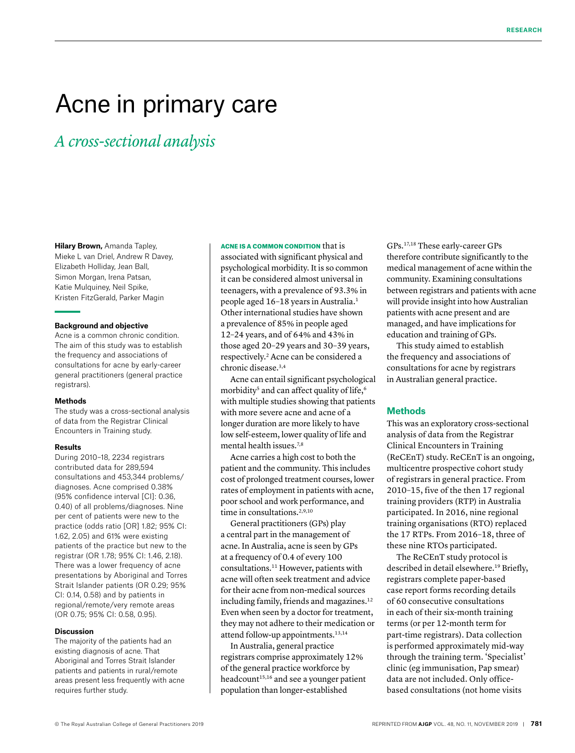# Acne in primary care

*A cross-sectional analysis*

**Hilary Brown,** Amanda Tapley, Mieke L van Driel, Andrew R Davey, Elizabeth Holliday, Jean Ball, Simon Morgan, Irena Patsan, Katie Mulquiney, Neil Spike, Kristen FitzGerald, Parker Magin

#### **Background and objective**

Acne is a common chronic condition. The aim of this study was to establish the frequency and associations of consultations for acne by early-career general practitioners (general practice registrars).

#### **Methods**

The study was a cross-sectional analysis of data from the Registrar Clinical Encounters in Training study.

#### **Results**

During 2010–18, 2234 registrars contributed data for 289,594 consultations and 453,344 problems/ diagnoses. Acne comprised 0.38% (95% confidence interval [CI]: 0.36, 0.40) of all problems/diagnoses. Nine per cent of patients were new to the practice (odds ratio [OR] 1.82; 95% CI: 1.62, 2.05) and 61% were existing patients of the practice but new to the registrar (OR 1.78; 95% CI: 1.46, 2.18). There was a lower frequency of acne presentations by Aboriginal and Torres Strait Islander patients (OR 0.29; 95% CI: 0.14, 0.58) and by patients in regional/remote/very remote areas (OR 0.75; 95% CI: 0.58, 0.95).

#### **Discussion**

The majority of the patients had an existing diagnosis of acne. That Aboriginal and Torres Strait Islander patients and patients in rural/remote areas present less frequently with acne requires further study.

#### ACNE IS A COMMON CONDITION that is

associated with significant physical and psychological morbidity. It is so common it can be considered almost universal in teenagers, with a prevalence of 93.3% in people aged 16-18 years in Australia.<sup>1</sup> Other international studies have shown a prevalence of 85% in people aged 12–24 years, and of 64% and 43% in those aged 20–29 years and 30–39 years, respectively.2 Acne can be considered a chronic disease.<sup>3,4</sup>

Acne can entail significant psychological morbidity<sup>5</sup> and can affect quality of life,<sup>6</sup> with multiple studies showing that patients with more severe acne and acne of a longer duration are more likely to have low self-esteem, lower quality of life and mental health issues.<sup>7,8</sup>

Acne carries a high cost to both the patient and the community. This includes cost of prolonged treatment courses, lower rates of employment in patients with acne, poor school and work performance, and time in consultations.<sup>2,9,10</sup>

General practitioners (GPs) play a central part in the management of acne. In Australia, acne is seen by GPs at a frequency of 0.4 of every 100 consultations.11 However, patients with acne will often seek treatment and advice for their acne from non-medical sources including family, friends and magazines.<sup>12</sup> Even when seen by a doctor for treatment, they may not adhere to their medication or attend follow-up appointments.13,14

In Australia, general practice registrars comprise approximately 12% of the general practice workforce by headcount<sup>15,16</sup> and see a younger patient population than longer-established

GPs.17,18 These early-career GPs therefore contribute significantly to the medical management of acne within the community. Examining consultations between registrars and patients with acne will provide insight into how Australian patients with acne present and are managed, and have implications for education and training of GPs.

This study aimed to establish the frequency and associations of consultations for acne by registrars in Australian general practice.

## **Methods**

This was an exploratory cross-sectional analysis of data from the Registrar Clinical Encounters in Training (ReCEnT) study. ReCEnT is an ongoing, multicentre prospective cohort study of registrars in general practice. From 2010–15, five of the then 17 regional training providers (RTP) in Australia participated. In 2016, nine regional training organisations (RTO) replaced the 17 RTPs. From 2016–18, three of these nine RTOs participated.

The ReCEnT study protocol is described in detail elsewhere.<sup>19</sup> Briefly, registrars complete paper-based case report forms recording details of 60 consecutive consultations in each of their six-month training terms (or per 12-month term for part-time registrars). Data collection is performed approximately mid-way through the training term. 'Specialist' clinic (eg immunisation, Pap smear) data are not included. Only officebased consultations (not home visits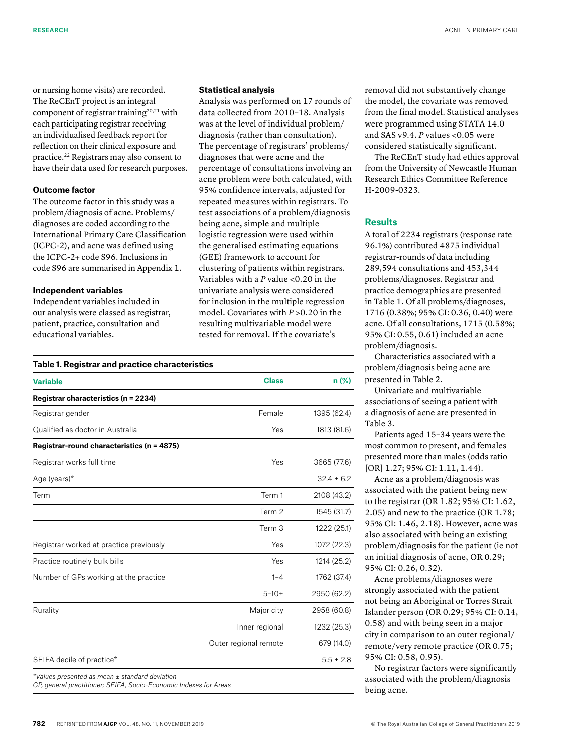or nursing home visits) are recorded. The ReCEnT project is an integral component of registrar training<sup>20,21</sup> with each participating registrar receiving an individualised feedback report for reflection on their clinical exposure and practice.22 Registrars may also consent to have their data used for research purposes.

#### **Outcome factor**

The outcome factor in this study was a problem/diagnosis of acne. Problems/ diagnoses are coded according to the International Primary Care Classification (ICPC-2), and acne was defined using the ICPC-2+ code S96. Inclusions in code S96 are summarised in Appendix 1.

#### **Independent variables**

Independent variables included in our analysis were classed as registrar, patient, practice, consultation and educational variables.

# **Statistical analysis**

Analysis was performed on 17 rounds of data collected from 2010–18. Analysis was at the level of individual problem/ diagnosis (rather than consultation). The percentage of registrars' problems/ diagnoses that were acne and the percentage of consultations involving an acne problem were both calculated, with 95% confidence intervals, adjusted for repeated measures within registrars. To test associations of a problem/diagnosis being acne, simple and multiple logistic regression were used within the generalised estimating equations (GEE) framework to account for clustering of patients within registrars. Variables with a *P* value <0.20 in the univariate analysis were considered for inclusion in the multiple regression model. Covariates with *P* > 0.20 in the resulting multivariable model were tested for removal. If the covariate's

| <b>Variable</b>                            | <b>Class</b>          | n (%)          |
|--------------------------------------------|-----------------------|----------------|
| Registrar characteristics (n = 2234)       |                       |                |
| Registrar gender                           | Female                | 1395 (62.4)    |
| Qualified as doctor in Australia           | Yes                   | 1813 (81.6)    |
| Registrar-round characteristics (n = 4875) |                       |                |
| Registrar works full time                  | Yes                   | 3665 (77.6)    |
| Age (years)*                               |                       | $32.4 \pm 6.2$ |
| Term                                       | Term 1                | 2108 (43.2)    |
|                                            | Term 2                | 1545 (31.7)    |
|                                            | Term 3                | 1222 (25.1)    |
| Registrar worked at practice previously    | Yes                   | 1072 (22.3)    |
| Practice routinely bulk bills              | Yes                   | 1214 (25.2)    |
| Number of GPs working at the practice      | $1 - 4$               | 1762 (37.4)    |
|                                            | $5 - 10 +$            | 2950 (62.2)    |
| Rurality                                   | Major city            | 2958 (60.8)    |
|                                            | Inner regional        | 1232 (25.3)    |
|                                            | Outer regional remote | 679 (14.0)     |
| SEIFA decile of practice*                  |                       | $5.5 \pm 2.8$  |

removal did not substantively change the model, the covariate was removed from the final model. Statistical analyses were programmed using STATA 14.0 and SAS v9.4. *P* values <0.05 were considered statistically significant.

The ReCEnT study had ethics approval from the University of Newcastle Human Research Ethics Committee Reference H-2009-0323.

# **Results**

A total of 2234 registrars (response rate 96.1%) contributed 4875 individual registrar-rounds of data including 289,594 consultations and 453,344 problems/diagnoses. Registrar and practice demographics are presented in Table 1. Of all problems/diagnoses, 1716 (0.38%; 95% CI: 0.36, 0.40) were acne. Of all consultations, 1715 (0.58%; 95% CI: 0.55, 0.61) included an acne problem/diagnosis.

Characteristics associated with a problem/diagnosis being acne are presented in Table 2.

Univariate and multivariable associations of seeing a patient with a diagnosis of acne are presented in Table 3.

Patients aged 15–34 years were the most common to present, and females presented more than males (odds ratio [OR] 1.27; 95% CI: 1.11, 1.44).

Acne as a problem/diagnosis was associated with the patient being new to the registrar (OR 1.82; 95% CI: 1.62, 2.05) and new to the practice (OR 1.78; 95% CI: 1.46, 2.18). However, acne was also associated with being an existing problem/diagnosis for the patient (ie not an initial diagnosis of acne, OR 0.29; 95% CI: 0.26, 0.32).

Acne problems/diagnoses were strongly associated with the patient not being an Aboriginal or Torres Strait Islander person (OR 0.29; 95% CI: 0.14, 0.58) and with being seen in a major city in comparison to an outer regional/ remote/very remote practice (OR 0.75; 95% CI: 0.58, 0.95).

No registrar factors were significantly associated with the problem/diagnosis being acne.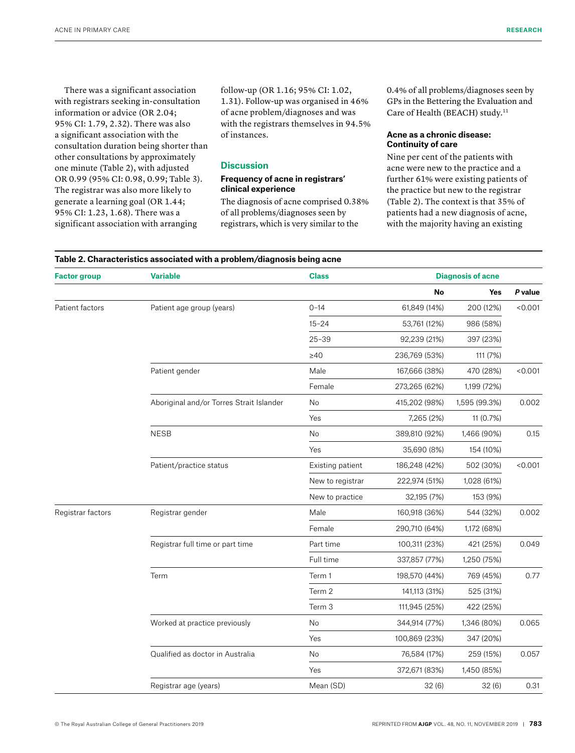There was a significant association with registrars seeking in-consultation information or advice (OR 2.04; 95% CI: 1.79, 2.32). There was also a significant association with the consultation duration being shorter than other consultations by approximately one minute (Table 2), with adjusted OR 0.99 (95% CI: 0.98, 0.99; Table 3). The registrar was also more likely to generate a learning goal (OR 1.44; 95% CI: 1.23, 1.68). There was a significant association with arranging

follow-up (OR 1.16; 95% CI: 1.02, 1.31). Follow-up was organised in 46% of acne problem/diagnoses and was with the registrars themselves in 94.5% of instances.

# **Discussion**

# **Frequency of acne in registrars' clinical experience**

The diagnosis of acne comprised 0.38% of all problems/diagnoses seen by registrars, which is very similar to the

0.4% of all problems/diagnoses seen by GPs in the Bettering the Evaluation and Care of Health (BEACH) study.<sup>11</sup>

# **Acne as a chronic disease: Continuity of care**

Nine per cent of the patients with acne were new to the practice and a further 61% were existing patients of the practice but new to the registrar (Table 2). The context is that 35% of patients had a new diagnosis of acne, with the majority having an existing

| <b>Factor group</b> | <b>Variable</b>                          | <b>Class</b>     | <b>Diagnosis of acne</b> |               |         |
|---------------------|------------------------------------------|------------------|--------------------------|---------------|---------|
|                     |                                          |                  | No                       | Yes           | P value |
| Patient factors     | Patient age group (years)                | $0 - 14$         | 61,849 (14%)             | 200 (12%)     | < 0.001 |
|                     |                                          | $15 - 24$        | 53,761 (12%)             | 986 (58%)     |         |
|                     |                                          | $25 - 39$        | 92,239 (21%)             | 397 (23%)     |         |
|                     |                                          | $\geq 40$        | 236,769 (53%)            | 111 (7%)      |         |
|                     | Patient gender                           | Male             | 167,666 (38%)            | 470 (28%)     | < 0.001 |
|                     |                                          | Female           | 273,265 (62%)            | 1,199 (72%)   |         |
|                     | Aboriginal and/or Torres Strait Islander | No               | 415,202 (98%)            | 1,595 (99.3%) | 0.002   |
|                     |                                          | Yes              | 7,265 (2%)               | 11 (0.7%)     |         |
|                     | <b>NESB</b>                              | No               | 389,810 (92%)            | 1,466 (90%)   | 0.15    |
|                     |                                          | Yes              | 35,690 (8%)              | 154 (10%)     |         |
|                     | Patient/practice status                  | Existing patient | 186,248 (42%)            | 502 (30%)     | < 0.001 |
|                     |                                          | New to registrar | 222,974 (51%)            | 1,028 (61%)   |         |
|                     |                                          | New to practice  | 32,195 (7%)              | 153 (9%)      |         |
| Registrar factors   | Registrar gender                         | Male             | 160,918 (36%)            | 544 (32%)     | 0.002   |
|                     |                                          | Female           | 290,710 (64%)            | 1,172 (68%)   |         |
|                     | Registrar full time or part time         | Part time        | 100,311 (23%)            | 421 (25%)     | 0.049   |
|                     |                                          | Full time        | 337,857 (77%)            | 1,250 (75%)   |         |
|                     | Term                                     | Term 1           | 198,570 (44%)            | 769 (45%)     | 0.77    |
|                     |                                          | Term 2           | 141,113 (31%)            | 525 (31%)     |         |
|                     |                                          | Term 3           | 111,945 (25%)            | 422 (25%)     |         |
|                     | Worked at practice previously            | No               | 344,914 (77%)            | 1,346 (80%)   | 0.065   |
|                     |                                          | Yes              | 100,869 (23%)            | 347 (20%)     |         |
|                     | Qualified as doctor in Australia         | No               | 76,584 (17%)             | 259 (15%)     | 0.057   |
|                     |                                          | Yes              | 372,671 (83%)            | 1,450 (85%)   |         |
|                     | Registrar age (years)                    | Mean (SD)        | 32(6)                    | 32(6)         | 0.31    |

#### **Table 2. Characteristics associated with a problem/diagnosis being acne (cont'd)**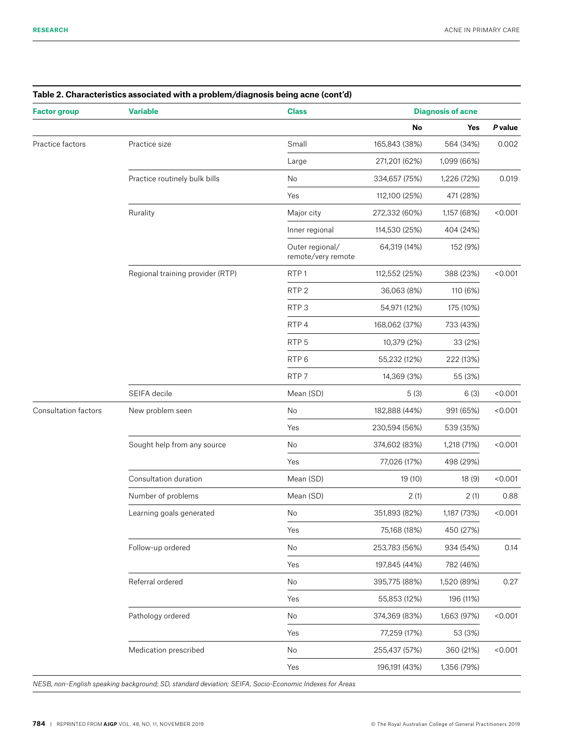| <b>Factor group</b>         | <b>Variable</b>                  | <b>Class</b>                          | <b>Diagnosis of acne</b> |             |         |
|-----------------------------|----------------------------------|---------------------------------------|--------------------------|-------------|---------|
|                             |                                  |                                       | No                       | Yes         | P value |
| Practice factors            | Practice size                    | Small                                 | 165,843 (38%)            | 564 (34%)   | 0.002   |
|                             |                                  | Large                                 | 271,201 (62%)            | 1,099 (66%) |         |
|                             | Practice routinely bulk bills    | No                                    | 334,657 (75%)            | 1,226 (72%) | 0.019   |
|                             |                                  | Yes                                   | 112,100 (25%)            | 471 (28%)   |         |
|                             | Rurality                         | Major city                            | 272,332 (60%)            | 1,157 (68%) | < 0.001 |
|                             |                                  | Inner regional                        | 114,530 (25%)            | 404 (24%)   |         |
|                             |                                  | Outer regional/<br>remote/very remote | 64,319 (14%)             | 152 (9%)    |         |
|                             | Regional training provider (RTP) | RTP <sub>1</sub>                      | 112,552 (25%)            | 388 (23%)   | < 0.001 |
|                             |                                  | RTP <sub>2</sub>                      | 36,063 (8%)              | 110 (6%)    |         |
|                             |                                  | RTP <sub>3</sub>                      | 54,971 (12%)             | 175 (10%)   |         |
|                             |                                  | RTP4                                  | 168,062 (37%)            | 733 (43%)   |         |
|                             |                                  | RTP <sub>5</sub>                      | 10,379 (2%)              | 33 (2%)     |         |
|                             |                                  | RTP <sub>6</sub>                      | 55,232 (12%)             | 222 (13%)   |         |
|                             |                                  | RTP <sub>7</sub>                      | 14,369 (3%)              | 55 (3%)     |         |
|                             | SEIFA decile                     | Mean (SD)                             | 5(3)                     | 6(3)        | < 0.001 |
| <b>Consultation factors</b> | New problem seen                 | No                                    | 182,888 (44%)            | 991 (65%)   | < 0.001 |
|                             |                                  | Yes                                   | 230,594 (56%)            | 539 (35%)   |         |
|                             | Sought help from any source      | No                                    | 374,602 (83%)            | 1,218 (71%) | < 0.001 |
|                             |                                  | Yes                                   | 77,026 (17%)             | 498 (29%)   |         |
|                             | Consultation duration            | Mean (SD)                             | 19 (10)                  | 18 (9)      | < 0.001 |
|                             | Number of problems               | Mean (SD)                             | 2(1)                     | 2(1)        | 0.88    |
|                             | Learning goals generated         | No                                    | 351,893 (82%)            | 1,187 (73%) | < 0.001 |
|                             |                                  | Yes                                   | 75,168 (18%)             | 450 (27%)   |         |
|                             | Follow-up ordered                | No                                    | 253,783 (56%)            | 934 (54%)   | 0.14    |
|                             |                                  | Yes                                   | 197,845 (44%)            | 782 (46%)   |         |
|                             | Referral ordered                 | No                                    | 395,775 (88%)            | 1,520 (89%) | 0.27    |
|                             |                                  | Yes                                   | 55,853 (12%)             | 196 (11%)   |         |
|                             | Pathology ordered                | No                                    | 374,369 (83%)            | 1,663 (97%) | < 0.001 |
|                             |                                  | Yes                                   | 77,259 (17%)             | 53 (3%)     |         |
|                             | Medication prescribed            | No                                    | 255,437 (57%)            | 360 (21%)   | < 0.001 |
|                             |                                  | Yes                                   | 196,191 (43%)            | 1,356 (79%) |         |

# **Table 2. Characteristics associated with a problem/diagnosis being acne (cont'd)**

*NESB, non–English speaking background; SD, standard deviation; SEIFA, Socio-Economic Indexes for Areas*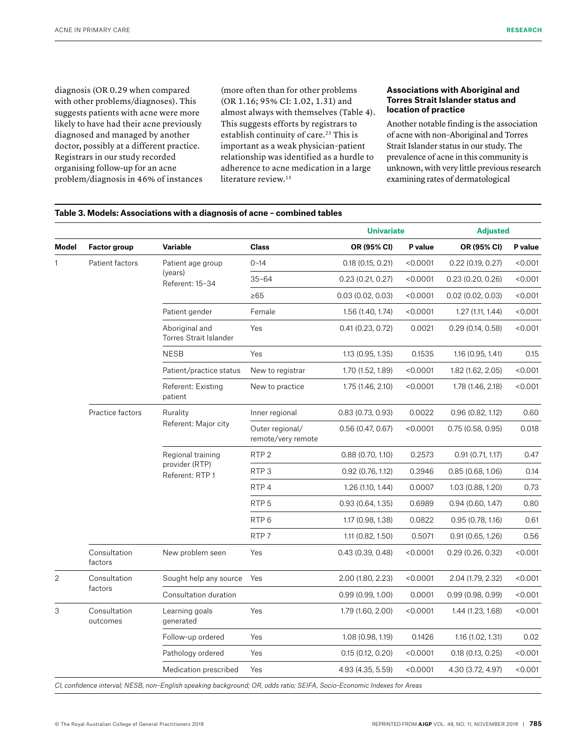diagnosis (OR 0.29 when compared with other problems/diagnoses). This suggests patients with acne were more likely to have had their acne previously diagnosed and managed by another doctor, possibly at a different practice. Registrars in our study recorded organising follow-up for an acne problem/diagnosis in 46% of instances (more often than for other problems (OR 1.16; 95% CI: 1.02, 1.31) and almost always with themselves (Table 4). This suggests efforts by registrars to establish continuity of care.<sup>23</sup> This is important as a weak physician–patient relationship was identified as a hurdle to adherence to acne medication in a large literature review.<sup>13</sup>

### **Associations with Aboriginal and Torres Strait Islander status and location of practice**

Another notable finding is the association of acne with non–Aboriginal and Torres Strait Islander status in our study. The prevalence of acne in this community is unknown, with very little previous research examining rates of dermatological

|                |                          |                                                        |                                       | <b>Univariate</b> |          | <b>Adjusted</b>     |         |
|----------------|--------------------------|--------------------------------------------------------|---------------------------------------|-------------------|----------|---------------------|---------|
| Model          | <b>Factor group</b>      | <b>Variable</b>                                        | <b>Class</b>                          | OR (95% CI)       | P value  | OR (95% CI)         | P value |
|                | Patient factors          | Patient age group<br>(years)<br>Referent: 15-34        | $0 - 14$                              | 0.18(0.15, 0.21)  | < 0.0001 | 0.22(0.19, 0.27)    | < 0.001 |
|                |                          |                                                        | $35 - 64$                             | 0.23(0.21, 0.27)  | < 0.0001 | 0.23(0.20, 0.26)    | < 0.001 |
|                |                          |                                                        | $\geq 65$                             | 0.03(0.02, 0.03)  | < 0.0001 | $0.02$ (0.02, 0.03) | < 0.001 |
|                |                          | Patient gender                                         | Female                                | 1.56 (1.40, 1.74) | < 0.0001 | 1.27(1.11, 1.44)    | < 0.001 |
|                |                          | Aboriginal and<br>Torres Strait Islander               | Yes                                   | 0.41(0.23, 0.72)  | 0.0021   | 0.29(0.14, 0.58)    | < 0.001 |
|                |                          | <b>NESB</b>                                            | Yes                                   | 1.13 (0.95, 1.35) | 0.1535   | 1.16 (0.95, 1.41)   | 0.15    |
|                |                          | Patient/practice status                                | New to registrar                      | 1.70 (1.52, 1.89) | < 0.0001 | 1.82 (1.62, 2.05)   | < 0.001 |
|                |                          | Referent: Existing<br>patient                          | New to practice                       | 1.75 (1.46, 2.10) | < 0.0001 | 1.78 (1.46, 2.18)   | < 0.001 |
|                | Practice factors         | Rurality<br>Referent: Major city                       | Inner regional                        | 0.83(0.73, 0.93)  | 0.0022   | 0.96(0.82, 1.12)    | 0.60    |
|                |                          |                                                        | Outer regional/<br>remote/very remote | 0.56(0.47, 0.67)  | < 0.0001 | 0.75(0.58, 0.95)    | 0.018   |
|                |                          | Regional training<br>provider (RTP)<br>Referent: RTP 1 | RTP <sub>2</sub>                      | 0.88(0.70, 1.10)  | 0.2573   | 0.91(0.71, 1.17)    | 0.47    |
|                |                          |                                                        | RTP <sub>3</sub>                      | 0.92(0.76, 1.12)  | 0.3946   | 0.85(0.68, 1.06)    | 0.14    |
|                |                          |                                                        | RTP4                                  | 1.26 (1.10, 1.44) | 0.0007   | 1.03 (0.88, 1.20)   | 0.73    |
|                |                          |                                                        | RTP <sub>5</sub>                      | 0.93(0.64, 1.35)  | 0.6989   | 0.94(0.60, 1.47)    | 0.80    |
|                |                          |                                                        | RTP <sub>6</sub>                      | 1.17 (0.98, 1.38) | 0.0822   | 0.95(0.78, 1.16)    | 0.61    |
|                |                          |                                                        | RTP <sub>7</sub>                      | 1.11 (0.82, 1.50) | 0.5071   | 0.91(0.65, 1.26)    | 0.56    |
|                | Consultation<br>factors  | New problem seen                                       | Yes                                   | 0.43(0.39, 0.48)  | < 0.0001 | 0.29(0.26, 0.32)    | < 0.001 |
| $\overline{2}$ | Consultation<br>factors  | Sought help any source                                 | Yes                                   | 2.00 (1.80, 2.23) | < 0.0001 | 2.04 (1.79, 2.32)   | < 0.001 |
|                |                          | Consultation duration                                  |                                       | 0.99(0.99, 1.00)  | 0.0001   | 0.99(0.98, 0.99)    | < 0.001 |
| 3              | Consultation<br>outcomes | Learning goals<br>generated                            | Yes                                   | 1.79 (1.60, 2.00) | < 0.0001 | 1.44 (1.23, 1.68)   | < 0.001 |
|                |                          | Follow-up ordered                                      | Yes                                   | 1.08 (0.98, 1.19) | 0.1426   | 1.16 (1.02, 1.31)   | 0.02    |
|                |                          | Pathology ordered                                      | Yes                                   | 0.15(0.12, 0.20)  | < 0.0001 | 0.18(0.13, 0.25)    | < 0.001 |
|                |                          | Medication prescribed                                  | Yes                                   | 4.93 (4.35, 5.59) | < 0.0001 | 4.30 (3.72, 4.97)   | < 0.001 |

*CI, confidence interval; NESB, non–English speaking background; OR, odds ratio; SEIFA, Socio-Economic Indexes for Areas*

**Table 3. Models: Associations with a diagnosis of acne – combined tables**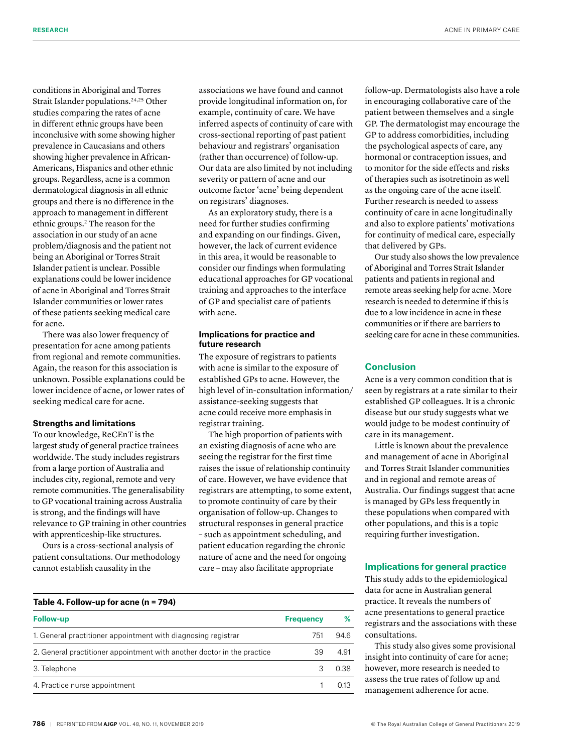conditions in Aboriginal and Torres Strait Islander populations.<sup>24,25</sup> Other studies comparing the rates of acne in different ethnic groups have been inconclusive with some showing higher prevalence in Caucasians and others showing higher prevalence in African-Americans, Hispanics and other ethnic groups. Regardless, acne is a common dermatological diagnosis in all ethnic groups and there is no difference in the approach to management in different ethnic groups.2 The reason for the association in our study of an acne problem/diagnosis and the patient not being an Aboriginal or Torres Strait Islander patient is unclear. Possible explanations could be lower incidence of acne in Aboriginal and Torres Strait Islander communities or lower rates of these patients seeking medical care for acne.

There was also lower frequency of presentation for acne among patients from regional and remote communities. Again, the reason for this association is unknown. Possible explanations could be lower incidence of acne, or lower rates of seeking medical care for acne.

# **Strengths and limitations**

To our knowledge, ReCEnT is the largest study of general practice trainees worldwide. The study includes registrars from a large portion of Australia and includes city, regional, remote and very remote communities. The generalisability to GP vocational training across Australia is strong, and the findings will have relevance to GP training in other countries with apprenticeship-like structures.

Ours is a cross-sectional analysis of patient consultations. Our methodology cannot establish causality in the

associations we have found and cannot provide longitudinal information on, for example, continuity of care. We have inferred aspects of continuity of care with cross-sectional reporting of past patient behaviour and registrars' organisation (rather than occurrence) of follow-up. Our data are also limited by not including severity or pattern of acne and our outcome factor 'acne' being dependent on registrars' diagnoses.

As an exploratory study, there is a need for further studies confirming and expanding on our findings. Given, however, the lack of current evidence in this area, it would be reasonable to consider our findings when formulating educational approaches for GP vocational training and approaches to the interface of GP and specialist care of patients with acne.

# **Implications for practice and future research**

The exposure of registrars to patients with acne is similar to the exposure of established GPs to acne. However, the high level of in-consultation information/ assistance-seeking suggests that acne could receive more emphasis in registrar training.

The high proportion of patients with an existing diagnosis of acne who are seeing the registrar for the first time raises the issue of relationship continuity of care. However, we have evidence that registrars are attempting, to some extent, to promote continuity of care by their organisation of follow-up. Changes to structural responses in general practice – such as appointment scheduling, and patient education regarding the chronic nature of acne and the need for ongoing care – may also facilitate appropriate

follow-up. Dermatologists also have a role in encouraging collaborative care of the patient between themselves and a single GP. The dermatologist may encourage the GP to address comorbidities, including the psychological aspects of care, any hormonal or contraception issues, and to monitor for the side effects and risks of therapies such as isotretinoin as well as the ongoing care of the acne itself. Further research is needed to assess continuity of care in acne longitudinally and also to explore patients' motivations for continuity of medical care, especially that delivered by GPs.

Our study also shows the low prevalence of Aboriginal and Torres Strait Islander patients and patients in regional and remote areas seeking help for acne. More research is needed to determine if this is due to a low incidence in acne in these communities or if there are barriers to seeking care for acne in these communities.

# **Conclusion**

Acne is a very common condition that is seen by registrars at a rate similar to their established GP colleagues. It is a chronic disease but our study suggests what we would judge to be modest continuity of care in its management.

Little is known about the prevalence and management of acne in Aboriginal and Torres Strait Islander communities and in regional and remote areas of Australia. Our findings suggest that acne is managed by GPs less frequently in these populations when compared with other populations, and this is a topic requiring further investigation.

# **Implications for general practice**

This study adds to the epidemiological data for acne in Australian general practice. It reveals the numbers of acne presentations to general practice registrars and the associations with these consultations.

This study also gives some provisional insight into continuity of care for acne; however, more research is needed to assess the true rates of follow up and management adherence for acne.

| Table 4. Follow-up for acne $(n = 794)$                                 |                  |       |  |  |
|-------------------------------------------------------------------------|------------------|-------|--|--|
| <b>Follow-up</b>                                                        | <b>Frequency</b> | %     |  |  |
| 1. General practitioner appointment with diagnosing registrar           | 751              | 94.6  |  |  |
| 2. General practitioner appointment with another doctor in the practice | 39               | 4.91  |  |  |
| 3. Telephone                                                            |                  | 0.38  |  |  |
| 4. Practice nurse appointment                                           |                  | O 13. |  |  |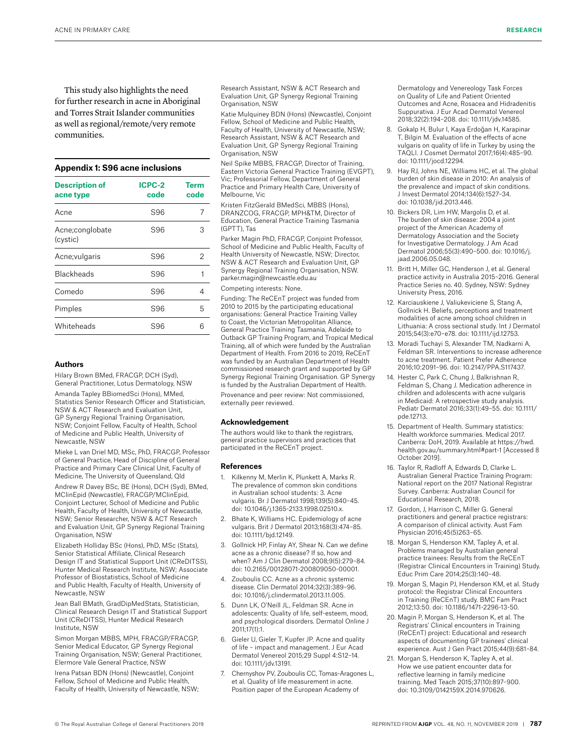This study also highlights the need for further research in acne in Aboriginal and Torres Strait Islander communities as well as regional/remote/very remote communities.

#### **Appendix 1: S96 acne inclusions**

| <b>Description of</b><br>acne type | ICPC-2<br>code | Term<br>code |
|------------------------------------|----------------|--------------|
| Acne                               | S96            | 7            |
| Acne;conglobate<br>(cystic)        | S96            | З            |
| Acne; vulgaris                     | S96            | 2            |
| Blackheads                         | S96            |              |
| Comedo                             | S96            | 4            |
| Pimples                            | S96            | 5            |
| Whiteheads                         | S96            | հ            |

#### **Authors**

Hilary Brown BMed, FRACGP, DCH (Syd), General Practitioner, Lotus Dermatology, NSW

Amanda Tapley BBiomedSci (Hons), MMed, Statistics Senior Research Officer and Statistician, NSW & ACT Research and Evaluation Unit, GP Synergy Regional Training Organisation, NSW; Conjoint Fellow, Faculty of Health, School of Medicine and Public Health, University of Newcastle, NSW

Mieke L van Driel MD, MSc, PhD, FRACGP, Professor of General Practice, Head of Discipline of General Practice and Primary Care Clinical Unit, Faculty of Medicine, The University of Queensland, Qld

Andrew R Davey BSc, BE (Hons), DCH (Syd), BMed, MClinEpid (Newcastle), FRACGP/MClinEpid, Conjoint Lecturer, School of Medicine and Public Health, Faculty of Health, University of Newcastle, NSW; Senior Researcher, NSW & ACT Research and Evaluation Unit, GP Synergy Regional Training Organisation, NSW

Elizabeth Holliday BSc (Hons), PhD, MSc (Stats), Senior Statistical Affiliate, Clinical Research Design IT and Statistical Support Unit (CReDITSS), Hunter Medical Research Institute, NSW; Associate Professor of Biostatistics, School of Medicine and Public Health, Faculty of Health, University of Newcastle, NSW

Jean Ball BMath, GradDipMedStats, Statistician, Clinical Research Design IT and Statistical Support Unit (CReDITSS), Hunter Medical Research Institute, NSW

Simon Morgan MBBS, MPH, FRACGP/FRACGP, Senior Medical Educator, GP Synergy Regional Training Organisation, NSW; General Practitioner, Elermore Vale General Practice, NSW

Irena Patsan BDN (Hons) (Newcastle), Conjoint Fellow, School of Medicine and Public Health, Faculty of Health, University of Newcastle, NSW; Research Assistant, NSW & ACT Research and Evaluation Unit, GP Synergy Regional Training Organisation, NSW

Katie Mulquiney BDN (Hons) (Newcastle), Conjoint Fellow, School of Medicine and Public Health, Faculty of Health, University of Newcastle, NSW; Research Assistant, NSW & ACT Research and Evaluation Unit, GP Synergy Regional Training Organisation, NSW

Neil Spike MBBS, FRACGP, Director of Training, Eastern Victoria General Practice Training (EVGPT), Vic; Professorial Fellow, Department of General Practice and Primary Health Care, University of Melbourne, Vic

Kristen FitzGerald BMedSci, MBBS (Hons), DRANZCOG, FRACGP, MPH&TM, Director of Education, General Practice Training Tasmania (GPTT), Tas

Parker Magin PhD, FRACGP, Conjoint Professor, School of Medicine and Public Health, Faculty of Health University of Newcastle, NSW; Director, NSW & ACT Research and Evaluation Unit, GP Synergy Regional Training Organisation, NSW. parker.magin@newcastle.edu.au

#### Competing interests: None.

Funding: The ReCEnT project was funded from 2010 to 2015 by the participating educational organisations: General Practice Training Valley to Coast, the Victorian Metropolitan Alliance, General Practice Training Tasmania, Adelaide to Outback GP Training Program, and Tropical Medical Training, all of which were funded by the Australian Department of Health. From 2016 to 2019, ReCEnT was funded by an Australian Department of Health commissioned research grant and supported by GP Synergy Regional Training Organisation. GP Synergy is funded by the Australian Department of Health. Provenance and peer review: Not commissioned,

externally peer reviewed.

#### **Acknowledgement**

The authors would like to thank the registrars, general practice supervisors and practices that participated in the ReCEnT project.

#### **References**

- 1. Kilkenny M, Merlin K, Plunkett A, Marks R. The prevalence of common skin conditions in Australian school students: 3. Acne vulgaris. Br J Dermatol 1998;139(5):840–45. doi: 10.1046/j.1365-2133.1998.02510.x.
- 2. Bhate K, Williams HC. Epidemiology of acne vulgaris. Brit J Dermatol 2013;168(3):474–85. doi: 10.1111/bjd.12149.
- 3. Gollnick HP, Finlay AY, Shear N. Can we define acne as a chronic disease? If so, how and when? Am J Clin Dermatol 2008;9(5):279–84. doi: 10.2165/00128071-200809050-00001.
- 4. Zouboulis CC. Acne as a chronic systemic disease. Clin Dermatol 2014;32(3):389–96. doi: 10.1016/j.clindermatol.2013.11.005.
- 5. Dunn LK, O'Neill JL, Feldman SR. Acne in adolescents: Quality of life, self-esteem, mood, and psychological disorders. Dermatol Online J 2011;17(1):1.
- 6. Gieler U, Gieler T, Kupfer JP. Acne and quality of life – impact and management. J Eur Acad Dermatol Venereol 2015;29 Suppl 4:S12–14. doi: 10.1111/jdv.13191.
- 7. Chernyshov PV, Zouboulis CC, Tomas-Aragones L, et al. Quality of life measurement in acne. Position paper of the European Academy of

Dermatology and Venereology Task Forces on Quality of Life and Patient Oriented Outcomes and Acne, Rosacea and Hidradenitis Suppurativa. J Eur Acad Dermatol Venereol 2018;32(2):194–208. doi: 10.1111/jdv.14585.

- 8. Gokalp H, Bulur I, Kaya Erdoğan H, Karapinar T, Bilgin M. Evaluation of the effects of acne vulgaris on quality of life in Turkey by using the TAQLI. J Cosmet Dermatol 2017;16(4):485–90. doi: 10.1111/jocd.12294.
- 9. Hay RJ, Johns NE, Williams HC, et al. The global burden of skin disease in 2010: An analysis of the prevalence and impact of skin conditions. J Invest Dermatol 2014;134(6):1527–34. doi: 10.1038/jid.2013.446.
- 10. Bickers DR, Lim HW, Margolis D, et al. The burden of skin disease: 2004 a joint project of the American Academy of Dermatology Association and the Society for Investigative Dermatology. J Am Acad Dermatol 2006;55(3):490–500. doi: 10.1016/j. jaad.2006.05.048.
- 11. Britt H, Miller GC, Henderson J, et al. General practice activity in Australia 2015–2016. General Practice Series no. 40. Sydney, NSW: Sydney University Press, 2016.
- 12. Karciauskiene J, Valiukeviciene S, Stang A, Gollnick H. Beliefs, perceptions and treatment modalities of acne among school children in Lithuania: A cross sectional study. Int J Dermatol 2015;54(3):e70–e78. doi: 10.1111/ijd.12753.
- 13. Moradi Tuchayi S, Alexander TM, Nadkarni A, Feldman SR. Interventions to increase adherence to acne treatment. Patient Prefer Adherence 2016;10:2091–96. doi: 10.2147/PPA.S117437.
- 14. Hester C, Park C, Chung J, Balkrishnan R, Feldman S, Chang J. Medication adherence in children and adolescents with acne vulgaris in Medicaid: A retrospective study analysis. Pediatr Dermatol 2016;33(1):49–55. doi: 10.1111/ pde.12713.
- 15. Department of Health. Summary statistics: Health workforce summaries. Medical 2017. Canberra: DoH, 2019. Available at https://hwd. health.gov.au/summary.html#part-1 [Accessed 8 October 2019].
- 16. Taylor R, Radloff A, Edwards D, Clarke L. Australian General Practice Training Program: National report on the 2017 National Registrar Survey. Canberra: Australian Council for Educational Research, 2018.
- 17. Gordon, J, Harrison C, Miller G. General practitioners and general practice registrars: A comparison of clinical activity. Aust Fam Physician 2016;45(5)263–65.
- 18. Morgan S, Henderson KM, Tapley A, et al. Problems managed by Australian general practice trainees: Results from the ReCEnT (Registrar Clinical Encounters in Training) Study. Educ Prim Care 2014;25(3):140–48.
- 19. Morgan S, Magin PJ, Henderson KM, et al. Study protocol: the Registrar Clinical Encounters in Training (ReCEnT) study. BMC Fam Pract 2012;13:50. doi: 10.1186/1471-2296-13-50.
- 20. Magin P, Morgan S, Henderson K, et al. The Registrars' Clinical encounters in Training (ReCEnT) project: Educational and research aspects of documenting GP trainees' clinical experience. Aust J Gen Pract 2015;44(9):681–84.
- 21. Morgan S, Henderson K, Tapley A, et al. How we use patient encounter data for reflective learning in family medicine training. Med Teach 2015;37(10):897–900. doi: 10.3109/0142159X.2014.970626.